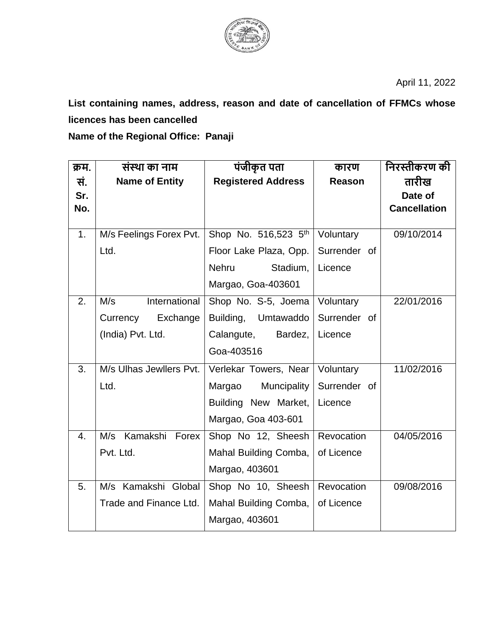

April 11, 2022

**List containing names, address, reason and date of cancellation of FFMCs whose licences has been cancelled Name of the Regional Office: Panaji** 

| क्रम.          | संस्था का नाम           | पंजीकृत पता               | कारण         | निरस्तीकरण की       |
|----------------|-------------------------|---------------------------|--------------|---------------------|
| सं.            | <b>Name of Entity</b>   | <b>Registered Address</b> | Reason       | तारीख               |
| Sr.            |                         |                           |              | Date of             |
| No.            |                         |                           |              | <b>Cancellation</b> |
|                |                         |                           |              | 09/10/2014          |
| 1 <sub>1</sub> | M/s Feelings Forex Pvt. | Shop No. 516,523 5th      | Voluntary    |                     |
|                | Ltd.                    | Floor Lake Plaza, Opp.    | Surrender of |                     |
|                |                         | <b>Nehru</b><br>Stadium,  | Licence      |                     |
|                |                         | Margao, Goa-403601        |              |                     |
| 2.             | International<br>M/s    | Shop No. S-5, Joema       | Voluntary    | 22/01/2016          |
|                | Currency<br>Exchange    | Building,<br>Umtawaddo    | Surrender of |                     |
|                | (India) Pvt. Ltd.       | Calangute,<br>Bardez,     | Licence      |                     |
|                |                         | Goa-403516                |              |                     |
| 3.             | M/s Ulhas Jewllers Pvt. | Verlekar Towers, Near     | Voluntary    | 11/02/2016          |
|                | Ltd.                    | Muncipality<br>Margao     | Surrender of |                     |
|                |                         | Building New Market,      | Licence      |                     |
|                |                         | Margao, Goa 403-601       |              |                     |
| 4.             | Kamakshi Forex<br>M/s   | Shop No 12, Sheesh        | Revocation   | 04/05/2016          |
|                | Pvt. Ltd.               | Mahal Building Comba,     | of Licence   |                     |
|                |                         | Margao, 403601            |              |                     |
| 5.             | M/s Kamakshi Global     | Shop No 10, Sheesh        | Revocation   | 09/08/2016          |
|                | Trade and Finance Ltd.  | Mahal Building Comba,     | of Licence   |                     |
|                |                         | Margao, 403601            |              |                     |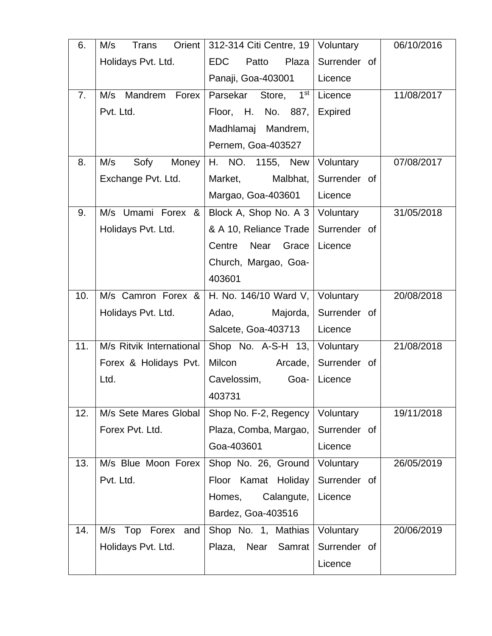| 6.  | Orient<br>M/s<br>Trans     | 312-314 Citi Centre, 19      | Voluntary    | 06/10/2016 |
|-----|----------------------------|------------------------------|--------------|------------|
|     | Holidays Pvt. Ltd.         | <b>EDC</b><br>Plaza<br>Patto | Surrender of |            |
|     |                            | Panaji, Goa-403001           | Licence      |            |
| 7.  | M/s<br>Mandrem Forex       | Parsekar Store, 1st          | Licence      | 11/08/2017 |
|     | Pvt. Ltd.                  | Floor, H. No. 887,           | Expired      |            |
|     |                            | Madhlamaj Mandrem,           |              |            |
|     |                            | Pernem, Goa-403527           |              |            |
| 8.  | M/s<br>Sofy<br>Money       | H. NO. 1155, New             | Voluntary    | 07/08/2017 |
|     | Exchange Pvt. Ltd.         | Malbhat,<br>Market,          | Surrender of |            |
|     |                            | Margao, Goa-403601           | Licence      |            |
| 9.  | M/s Umami Forex &          | Block A, Shop No. A 3        | Voluntary    | 31/05/2018 |
|     | Holidays Pvt. Ltd.         | & A 10, Reliance Trade       | Surrender of |            |
|     |                            | Near Grace<br>Centre         | Licence      |            |
|     |                            | Church, Margao, Goa-         |              |            |
|     |                            | 403601                       |              |            |
| 10. | M/s Camron Forex &         | H. No. 146/10 Ward V,        | Voluntary    | 20/08/2018 |
|     | Holidays Pvt. Ltd.         | Adao,<br>Majorda,            | Surrender of |            |
|     |                            | Salcete, Goa-403713          | Licence      |            |
| 11. | M/s Ritvik International   | Shop No. A-S-H 13,           | Voluntary    | 21/08/2018 |
|     | Forex & Holidays Pvt.      | Milcon<br>Arcade,            | Surrender of |            |
|     | Ltd.                       | Cavelossim,<br>Goa-          | Licence      |            |
|     |                            | 403731                       |              |            |
| 12. | M/s Sete Mares Global      | Shop No. F-2, Regency        | Voluntary    | 19/11/2018 |
|     | Forex Pvt. Ltd.            | Plaza, Comba, Margao,        | Surrender of |            |
|     |                            | Goa-403601                   | Licence      |            |
| 13. | M/s Blue Moon Forex        | Shop No. 26, Ground          | Voluntary    | 26/05/2019 |
|     | Pvt. Ltd.                  | Floor Kamat Holiday          | Surrender of |            |
|     |                            | Calangute,<br>Homes,         | Licence      |            |
|     |                            | Bardez, Goa-403516           |              |            |
| 14. | M/s<br>Top<br>Forex<br>and | Shop No. 1, Mathias          | Voluntary    | 20/06/2019 |
|     | Holidays Pvt. Ltd.         | Plaza, Near<br>Samrat        | Surrender of |            |
|     |                            |                              | Licence      |            |